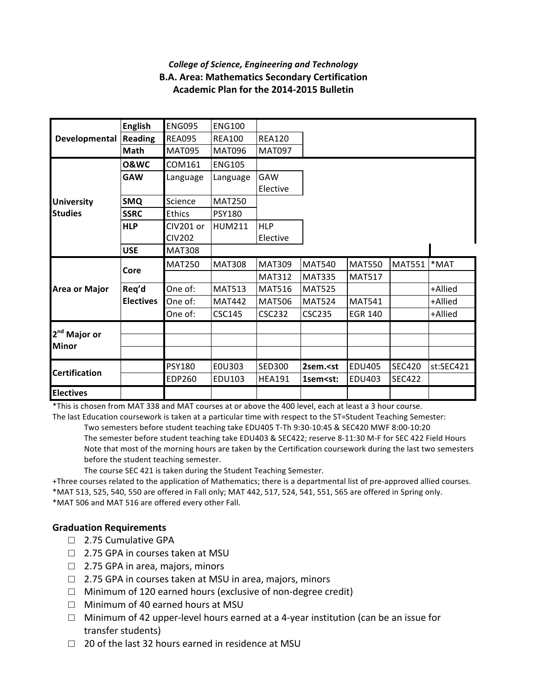## *College of Science, Engineering and Technology* **B.A. Area: Mathematics Secondary Certification Academic Plan for the 2014-2015 Bulletin**

|                                          | <b>English</b>   | <b>ENG095</b> | <b>ENG100</b> |               |                                                                                       |                |               |           |  |
|------------------------------------------|------------------|---------------|---------------|---------------|---------------------------------------------------------------------------------------|----------------|---------------|-----------|--|
| Developmental                            | Reading          | <b>REA095</b> | <b>REA100</b> | <b>REA120</b> |                                                                                       |                |               |           |  |
|                                          | Math             | <b>MAT095</b> | <b>MAT096</b> | <b>MAT097</b> |                                                                                       |                |               |           |  |
|                                          | <b>0&amp;WC</b>  | COM161        | <b>ENG105</b> |               |                                                                                       |                |               |           |  |
|                                          | <b>GAW</b>       | Language      | Language      | GAW           |                                                                                       |                |               |           |  |
|                                          |                  |               |               | Elective      |                                                                                       |                |               |           |  |
| <b>University</b>                        | <b>SMQ</b>       | Science       | <b>MAT250</b> |               |                                                                                       |                |               |           |  |
| <b>Studies</b>                           | <b>SSRC</b>      | <b>Ethics</b> | <b>PSY180</b> |               |                                                                                       |                |               |           |  |
|                                          | <b>HLP</b>       | CIV201 or     | <b>HUM211</b> | <b>HLP</b>    |                                                                                       |                |               |           |  |
|                                          |                  | <b>CIV202</b> |               | Elective      |                                                                                       |                |               |           |  |
|                                          | <b>USE</b>       | <b>MAT308</b> |               |               |                                                                                       |                |               |           |  |
| <b>Area or Major</b>                     | Core             | <b>MAT250</b> | <b>MAT308</b> | <b>MAT309</b> | <b>MAT540</b>                                                                         | <b>MAT550</b>  | <b>MAT551</b> | *MAT      |  |
|                                          |                  |               |               | <b>MAT312</b> | <b>MAT335</b>                                                                         | <b>MAT517</b>  |               |           |  |
|                                          | Req'd            | One of:       | <b>MAT513</b> | <b>MAT516</b> | <b>MAT525</b>                                                                         |                |               | +Allied   |  |
|                                          | <b>Electives</b> | One of:       | <b>MAT442</b> | <b>MAT506</b> | <b>MAT524</b>                                                                         | <b>MAT541</b>  |               | +Allied   |  |
|                                          |                  | One of:       | <b>CSC145</b> | <b>CSC232</b> | <b>CSC235</b>                                                                         | <b>EGR 140</b> |               | +Allied   |  |
|                                          |                  |               |               |               |                                                                                       |                |               |           |  |
| 2 <sup>nd</sup> Major or<br><b>Minor</b> |                  |               |               |               |                                                                                       |                |               |           |  |
|                                          |                  |               |               |               |                                                                                       |                |               |           |  |
|                                          |                  | <b>PSY180</b> | E0U303        | <b>SED300</b> | 2sem. <st< th=""><th><b>EDU405</b></th><th><b>SEC420</b></th><th>st:SEC421</th></st<> | <b>EDU405</b>  | <b>SEC420</b> | st:SEC421 |  |
| <b>Certification</b>                     |                  | <b>EDP260</b> | EDU103        | <b>HEA191</b> | 1sem <st:< th=""><th>EDU403</th><th><b>SEC422</b></th><th></th></st:<>                | EDU403         | <b>SEC422</b> |           |  |
| <b>Electives</b>                         |                  |               |               |               |                                                                                       |                |               |           |  |

\*This is chosen from MAT 338 and MAT courses at or above the 400 level, each at least a 3 hour course.

The last Education coursework is taken at a particular time with respect to the ST=Student Teaching Semester: Two semesters before student teaching take EDU405 T-Th 9:30-10:45 & SEC420 MWF 8:00-10:20 The semester before student teaching take EDU403 & SEC422; reserve 8-11:30 M-F for SEC 422 Field Hours

Note that most of the morning hours are taken by the Certification coursework during the last two semesters before the student teaching semester.

The course SEC 421 is taken during the Student Teaching Semester.

+Three courses related to the application of Mathematics; there is a departmental list of pre-approved allied courses. \*MAT 513, 525, 540, 550 are offered in Fall only; MAT 442, 517, 524, 541, 551, 565 are offered in Spring only. \*MAT 506 and MAT 516 are offered every other Fall.

## **Graduation Requirements**

- □ 2.75 Cumulative GPA
- $\Box$  2.75 GPA in courses taken at MSU
- $\Box$  2.75 GPA in area, majors, minors
- $\Box$  2.75 GPA in courses taken at MSU in area, majors, minors
- $\Box$  Minimum of 120 earned hours (exclusive of non-degree credit)
- $\Box$  Minimum of 40 earned hours at MSU
- $\Box$  Minimum of 42 upper-level hours earned at a 4-year institution (can be an issue for transfer students)
- $\Box$  20 of the last 32 hours earned in residence at MSU